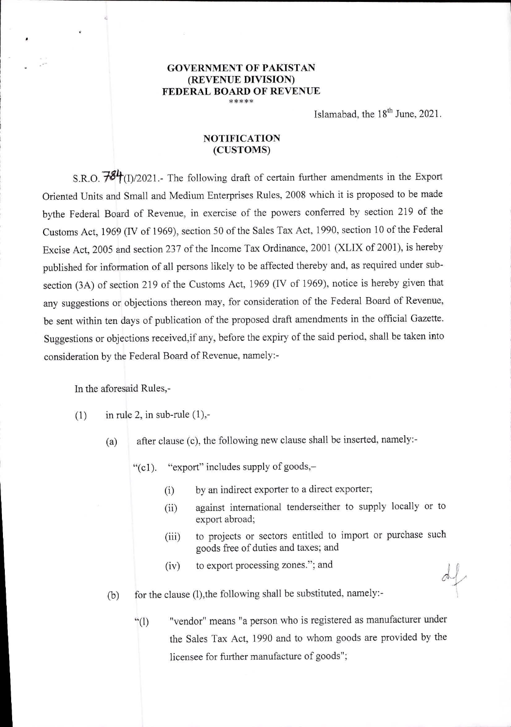## **GOVERNMENT OF PAKISTAN (REVENUE DIVISION) FEDERAL BOARD OF REVENUE \*\*\*\*\***

Islamabad, the  $18<sup>th</sup>$  June, 2021.

## **NOTIFICATION (CUSTOMS)**

S.R.O.  $\overline{784}$ (I)/2021.- The following draft of certain further amendments in the Export Oriented Units and Small and Medium Enterprises Rules, 2008 which it is proposed to be made bythe Federal Board of Revenue, in exercise of the powers conferred by section 219 of the Customs Act, 1969 (IV of 1969), section 50 of the Sales Tax Act, 1990, section 10 of the Federal Excise Act, 2005 and section 237 of the Income Tax Ordinance, 2001 (XLIX of 2001), is hereby published for information of all persons likely to be affected thereby and, as required under subsection (3A) of section 219 of the Customs Act, 1969 (IV of 1969), notice is hereby given that any suggestions or objections thereon may, for consideration of the Federal Board of Revenue, be sent within ten days of publication of the proposed draft amendments in the official Gazette. Suggestions or objections received,if any, before the expiry of the said period, shall be taken into consideration by the Federal Board of Revenue, namely:-

In the aforesaid Rules,-

- $(1)$  in rule 2, in sub-rule  $(1)$ ,-
	- (a) after clause (c), the following new clause shall be inserted, namely:-

"(el). "export" includes supply of goods,—

- by an indirect exporter to a direct exporter;  $(i)$
- against international tenderseither to supply locally or to  $(iii)$ export abroad;
- to projects or sectors entitled to import or purchase such  $(iii)$ goods free of duties and taxes; and
- to export processing zones."; and  $(iv)$
- (b) for the clause (1), the following shall be substituted, namely:-
	- "vendor" means "a person who is registered as manufacturer under  $``(1)$ the Sales Tax Act, 1990 and to whom goods are provided by the licensee for further manufacture of goods";